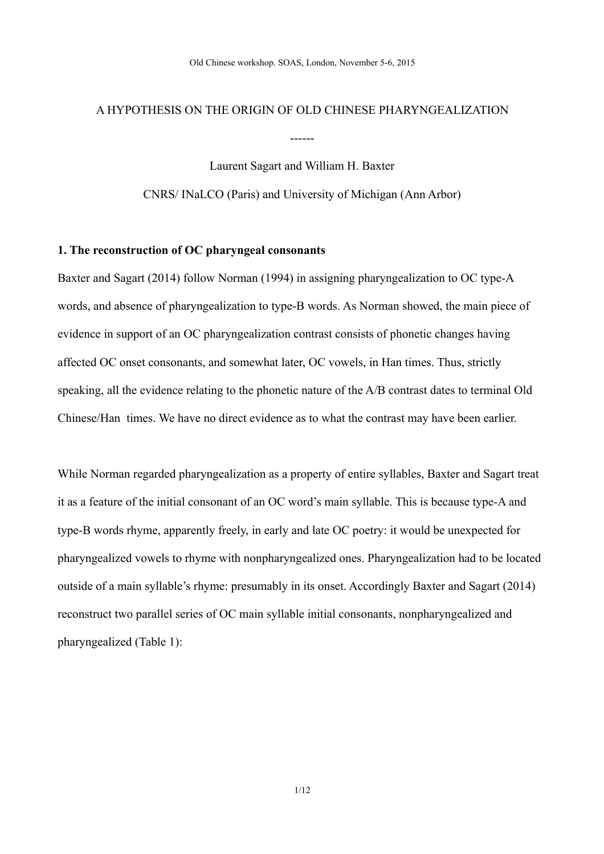# A HYPOTHESIS ON THE ORIGIN OF OLD CHINESE PHARYNGEALIZATION

------

Laurent Sagart and William H. Baxter CNRS/ INaLCO (Paris) and University of Michigan (Ann Arbor)

## **1. The reconstruction of OC pharyngeal consonants**

Baxter and Sagart (2014) follow Norman (1994) in assigning pharyngealization to OC type-A words, and absence of pharyngealization to type-B words. As Norman showed, the main piece of evidence in support of an OC pharyngealization contrast consists of phonetic changes having affected OC onset consonants, and somewhat later, OC vowels, in Han times. Thus, strictly speaking, all the evidence relating to the phonetic nature of the A/B contrast dates to terminal Old Chinese/Han times. We have no direct evidence as to what the contrast may have been earlier.

While Norman regarded pharyngealization as a property of entire syllables, Baxter and Sagart treat it as a feature of the initial consonant of an OC word's main syllable. This is because type-A and type-B words rhyme, apparently freely, in early and late OC poetry: it would be unexpected for pharyngealized vowels to rhyme with nonpharyngealized ones. Pharyngealization had to be located outside of a main syllable's rhyme: presumably in its onset. Accordingly Baxter and Sagart (2014) reconstruct two parallel series of OC main syllable initial consonants, nonpharyngealized and pharyngealized [\(Table 1\)](#page-1-0):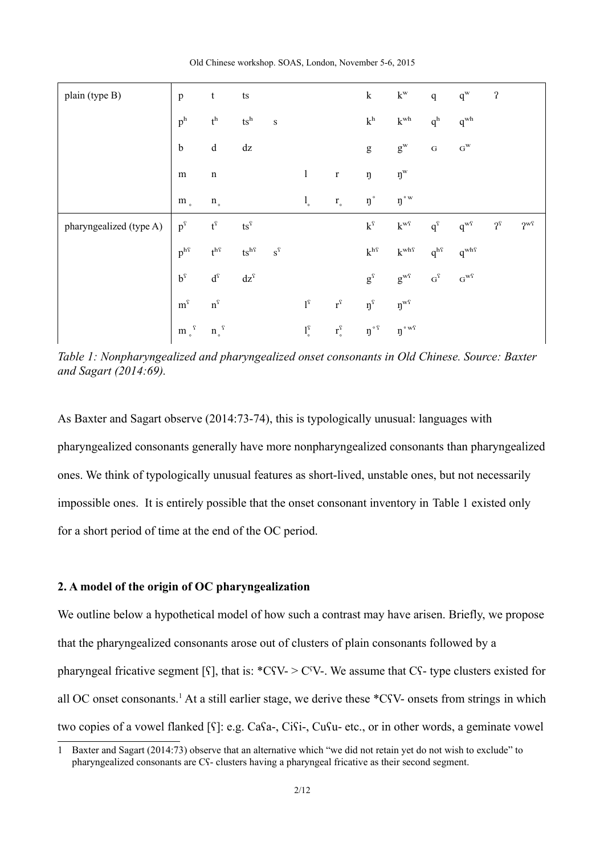| plain (type B)          | $\mathbf{p}$                        | t                                             | $\mathop{\text{ts}}$                          |                       |                                   |                      | $\bf k$                                                                                                                                                                                                                                                                                                                                                                                                                        | $k^{\mathrm{w}}$                            | $\mathbf{q}$        | $q^{\rm w}$       | $\boldsymbol{\mathsf{?}}$             |                                     |
|-------------------------|-------------------------------------|-----------------------------------------------|-----------------------------------------------|-----------------------|-----------------------------------|----------------------|--------------------------------------------------------------------------------------------------------------------------------------------------------------------------------------------------------------------------------------------------------------------------------------------------------------------------------------------------------------------------------------------------------------------------------|---------------------------------------------|---------------------|-------------------|---------------------------------------|-------------------------------------|
|                         | $\mathbf{p}^\mathrm{h}$             | $\mathfrak{t}^{\rm h}$                        | $ts^h$                                        | $\,$ S                |                                   |                      | $k^{\rm h}$                                                                                                                                                                                                                                                                                                                                                                                                                    | $k^{\mathrm{wh}}$                           | q <sup>h</sup>      | $q^{\mathrm{wh}}$ |                                       |                                     |
|                         | $\mathbf b$                         | $\mathrm{d}% \left\  \mathbf{G}\right\  ^{2}$ | $\mathrm{d} z$                                |                       |                                   |                      | $\mathbf{g}% _{T}=\mathbf{g}_{T}=\mathbf{g}_{T}=\mathbf{g}_{T}=\mathbf{g}_{T}=\mathbf{g}_{T}=\mathbf{g}_{T}=\mathbf{g}_{T}=\mathbf{g}_{T}=\mathbf{g}_{T}=\mathbf{g}_{T}=\mathbf{g}_{T}=\mathbf{g}_{T}=\mathbf{g}_{T}=\mathbf{g}_{T}=\mathbf{g}_{T}=\mathbf{g}_{T}=\mathbf{g}_{T}=\mathbf{g}_{T}=\mathbf{g}_{T}=\mathbf{g}_{T}=\mathbf{g}_{T}=\mathbf{g}_{T}=\mathbf{g}_{T}=\mathbf{g}_{T}=\mathbf{g}_{T}=\mathbf{g}_{T}=\math$ | $g^{\rm w}$                                 | ${\bf G}$           | $G^{\rm W}$       |                                       |                                     |
|                         | ${\rm m}$                           | $\mathbf n$                                   |                                               |                       | $\mathbf{1}$                      | $\mathbf r$          | ŋ                                                                                                                                                                                                                                                                                                                                                                                                                              | $\mathfrak{y}^{\rm w}$                      |                     |                   |                                       |                                     |
|                         | $\mathbf m$ $_{\circ}$              | $\mathfrak n$ .                               |                                               |                       | $\mathbf{l}_{\circ}$              | $\mathbf{r}_{\circ}$ | $\eta\,^\circ$                                                                                                                                                                                                                                                                                                                                                                                                                 | $\mathfrak g\mathstrut^{\circ\,\mathrm{w}}$ |                     |                   |                                       |                                     |
| pharyngealized (type A) | $\mathbf{p}^{\text{f}}$             | $\mathfrak{t}^{\mathfrak{l}}$                 | $\mathsf{ts}^\mathrm{f}$                      |                       |                                   |                      | $\mathbf{k}^{\text{f}}$                                                                                                                                                                                                                                                                                                                                                                                                        | $k^{\mathrm{w}\mathrm{f}}$                  | $q^{\mathrm{f}}$    | $q^{wf}$          | $\mathfrak{f}^{\scriptscriptstyle C}$ | $\mathbf{2}^{\mathbf{w}\mathbf{q}}$ |
|                         | $p^{\rm h\scriptscriptstyle\it{T}}$ | $\mathbf{t}^{\text{h}\text{s}}$               | $\mathsf{ts}^{\text{hf}}$                     | $\textbf{s}^\text{S}$ |                                   |                      | $k^{\rm h\hspace{0.05cm} \rm s}$                                                                                                                                                                                                                                                                                                                                                                                               | $k^{\mathrm{whf}}$                          | $q^{hf}$            | $q^{\text{whf}}$  |                                       |                                     |
|                         | $\mathbf{b}^{\mathrm{f}}$           | $\mathbf{d}^\text{f}$                         | $\mathrm{d} z^{\scriptscriptstyle\mathrm{f}}$ |                       |                                   |                      | $\mathbf{g}^\text{f}$                                                                                                                                                                                                                                                                                                                                                                                                          | $g^{\mathrm{wf}}$                           | $\mathbf{G}^\Omega$ | $G^{w\hat{Y}}$    |                                       |                                     |
|                         | $m^{\hat{Y}}$                       | $\mathbf{n}^\text{\tiny C}$                   |                                               |                       | $1^\mathrm{c}$                    | $r^{\hat{\imath}}$   | $\mathfrak{y}^{\emptyset}$                                                                                                                                                                                                                                                                                                                                                                                                     | $\mathfrak{y}^{\text{wf}}$                  |                     |                   |                                       |                                     |
|                         | m $\Box^{\rm f}$                    | $n_{\circ}$ <sup>?</sup>                      |                                               |                       | $\mathbf{l}^{\mathrm{c}}_{\circ}$ | $r_{\circ}^{\Omega}$ | $\mathfrak{y}^{\circ}$ ?                                                                                                                                                                                                                                                                                                                                                                                                       | $\mathfrak g\mathstrut^{\circ\,\text{wf}}$  |                     |                   |                                       |                                     |

<span id="page-1-0"></span>*Table 1: Nonpharyngealized and pharyngealized onset consonants in Old Chinese. Source: Baxter and Sagart (2014:69).*

As Baxter and Sagart observe (2014:73-74), this is typologically unusual: languages with pharyngealized consonants generally have more nonpharyngealized consonants than pharyngealized ones. We think of typologically unusual features as short-lived, unstable ones, but not necessarily impossible ones. It is entirely possible that the onset consonant inventory in [Table 1](#page-1-0) existed only for a short period of time at the end of the OC period.

## **2. A model of the origin of OC pharyngealization**

We outline below a hypothetical model of how such a contrast may have arisen. Briefly, we propose that the pharyngealized consonants arose out of clusters of plain consonants followed by a pharyngeal fricative segment [ $\Omega$ ], that is: \*C $\Omega$ V- $>$ C $\Omega$ V-. We assume that C $\Omega$ - type clusters existed for all OC onset consonants.<sup>[1](#page-1-1)</sup> At a still earlier stage, we derive these \*C<sup>*S*</sup>V- onsets from strings in which two copies of a vowel flanked [ʕ]: e.g. Caʕa-, Ciʕi-, Cuʕu- etc., or in other words, a geminate vowel

<span id="page-1-1"></span><sup>1</sup> Baxter and Sagart (2014:73) observe that an alternative which "we did not retain yet do not wish to exclude" to pharyngealized consonants are Cʕ- clusters having a pharyngeal fricative as their second segment.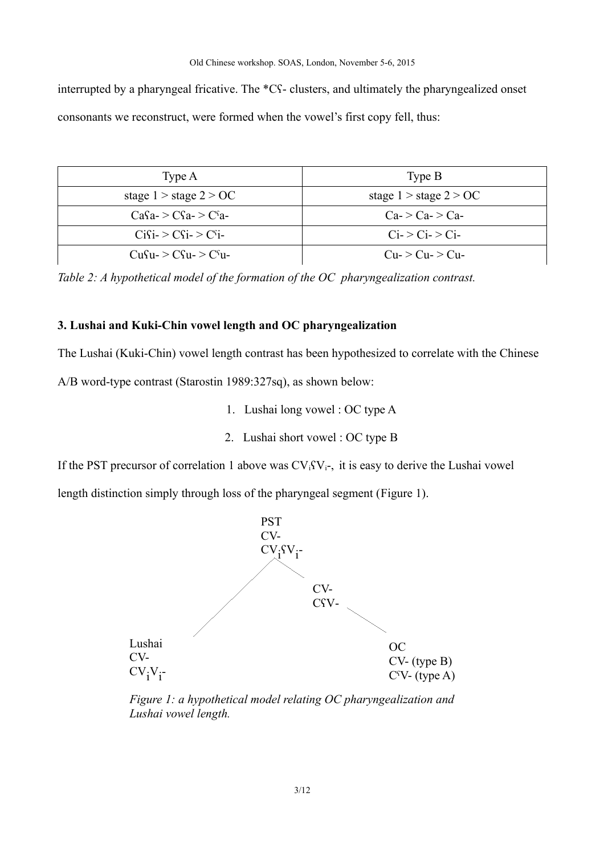interrupted by a pharyngeal fricative. The \*Cʕ- clusters, and ultimately the pharyngealized onset consonants we reconstruct, were formed when the vowel's first copy fell, thus:

| Type A                     | Type B                     |
|----------------------------|----------------------------|
| stage $1 >$ stage $2 > OC$ | stage $1 >$ stage $2 > OC$ |
| $CaSa \geq CSa \geq Csa$   | $Ca$ > $Ca$ > $Ca$         |
| $C_1S_1 > C_2S_1 > C_1S_1$ | $Ci$ > $Ci$ > $Ci$         |
| $CuSu->Csu- > Csu-$        | $Cu->Cu->Cu-$              |

<span id="page-2-1"></span>*Table 2: A hypothetical model of the formation of the OC pharyngealization contrast.*

## **3. Lushai and Kuki-Chin vowel length and OC pharyngealization**

The Lushai (Kuki-Chin) vowel length contrast has been hypothesized to correlate with the Chinese

A/B word-type contrast (Starostin 1989:327sq), as shown below:

- 1. Lushai long vowel : OC type A
- 2. Lushai short vowel : OC type B

If the PST precursor of correlation 1 above was  $CV_iSV_i$ , it is easy to derive the Lushai vowel

length distinction simply through loss of the pharyngeal segment [\(Figure 1\)](#page-2-0).



<span id="page-2-0"></span>*Figure 1: a hypothetical model relating OC pharyngealization and Lushai vowel length.*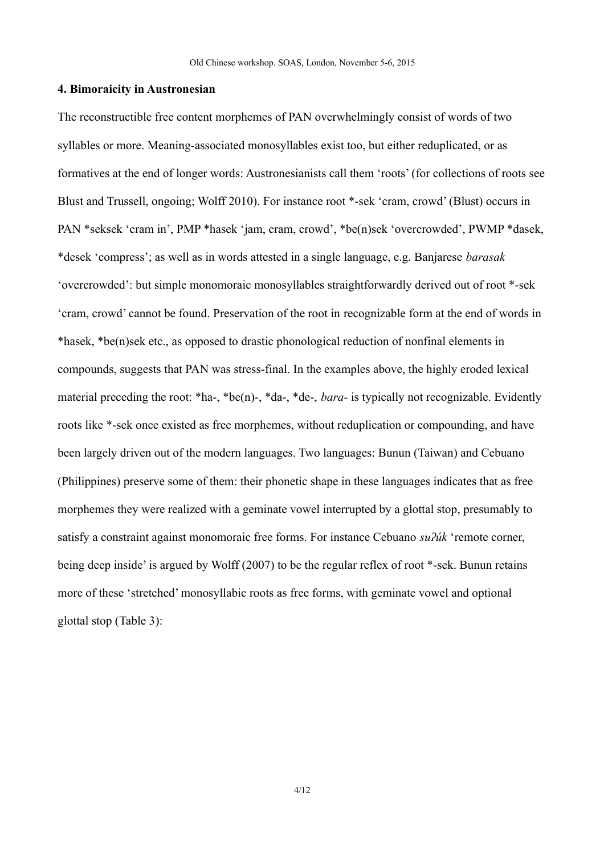#### **4. Bimoraicity in Austronesian**

The reconstructible free content morphemes of PAN overwhelmingly consist of words of two syllables or more. Meaning-associated monosyllables exist too, but either reduplicated, or as formatives at the end of longer words: Austronesianists call them 'roots' (for collections of roots see Blust and Trussell, ongoing; Wolff 2010). For instance root \*-sek 'cram, crowd' (Blust) occurs in PAN \*seksek 'cram in', PMP \*hasek 'jam, cram, crowd', \*be(n)sek 'overcrowded', PWMP \*dasek, \*desek 'compress'; as well as in words attested in a single language, e.g. Banjarese *barasak*  'overcrowded': but simple monomoraic monosyllables straightforwardly derived out of root \*-sek 'cram, crowd' cannot be found. Preservation of the root in recognizable form at the end of words in \*hasek, \*be(n)sek etc., as opposed to drastic phonological reduction of nonfinal elements in compounds, suggests that PAN was stress-final. In the examples above, the highly eroded lexical material preceding the root: \*ha-, \*be(n)-, \*da-, \*de-, *bara-* is typically not recognizable. Evidently roots like \*-sek once existed as free morphemes, without reduplication or compounding, and have been largely driven out of the modern languages. Two languages: Bunun (Taiwan) and Cebuano (Philippines) preserve some of them: their phonetic shape in these languages indicates that as free morphemes they were realized with a geminate vowel interrupted by a glottal stop, presumably to satisfy a constraint against monomoraic free forms. For instance Cebuano *suʔúk* 'remote corner, being deep inside' is argued by Wolff (2007) to be the regular reflex of root \*-sek. Bunun retains more of these 'stretched' monosyllabic roots as free forms, with geminate vowel and optional glottal stop [\(Table 3\)](#page-4-0):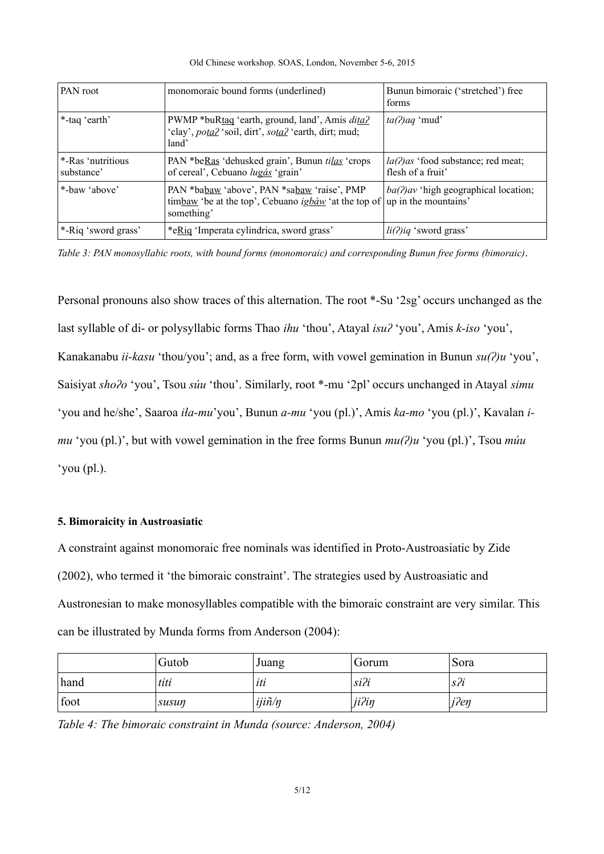| Old Chinese workshop. SOAS, London, November 5-6, 2015 |  |  |  |  |  |  |  |  |
|--------------------------------------------------------|--|--|--|--|--|--|--|--|
|--------------------------------------------------------|--|--|--|--|--|--|--|--|

| <b>PAN</b> root                 | monomoraic bound forms (underlined)                                                                                                      | Bunun bimoraic ('stretched') free<br>forms                 |
|---------------------------------|------------------------------------------------------------------------------------------------------------------------------------------|------------------------------------------------------------|
| *-taq 'earth'                   | PWMP *buRtag 'earth, ground, land', Amis <i>dita?</i><br>'clay', <i>potal</i> 'soil, dirt', <i>sotal</i> 'earth, dirt; mud;<br>land'     | $ta(2)aq$ 'mud'                                            |
| *-Ras 'nutritious<br>substance' | PAN *beRas 'dehusked grain', Bunun <i>tilas</i> 'crops'<br>of cereal', Cebuano lugás 'grain'                                             | $la(2)$ as 'food substance; red meat;<br>flesh of a fruit' |
| *-baw 'above'                   | PAN *babaw 'above', PAN *sabaw 'raise', PMP<br>timbaw 'be at the top', Cebuano ighaw' at the top of   up in the mountains'<br>something' | $ba(?)av$ 'high geographical location;                     |
| *-Riq 'sword grass'             | *eRiq 'Imperata cylindrica, sword grass'                                                                                                 | $li(2)iq$ 'sword grass'                                    |

<span id="page-4-0"></span>*Table 3: PAN monosyllabic roots, with bound forms (monomoraic) and corresponding Bunun free forms (bimoraic).*

Personal pronouns also show traces of this alternation. The root \*-Su '2sg' occurs unchanged as the last syllable of di- or polysyllabic forms Thao *ihu* 'thou', Atayal *isuʔ* 'you', Amis *k-iso* 'you', Kanakanabu *ii-kasu* 'thou/you'; and, as a free form, with vowel gemination in Bunun *su(ʔ)u* 'you', Saisiyat *shoʔo* 'you', Tsou *súu* 'thou'. Similarly, root \*-mu '2pl' occurs unchanged in Atayal *simu* 'you and he/she', Saaroa *iɬa-mu*'you', Bunun *a-mu* 'you (pl.)', Amis *ka-mo* 'you (pl.)', Kavalan *imu* 'you (pl.)', but with vowel gemination in the free forms Bunun *mu(ʔ)u* 'you (pl.)', Tsou *múu*  'you (pl.).

## **5. Bimoraicity in Austroasiatic**

A constraint against monomoraic free nominals was identified in Proto-Austroasiatic by Zide (2002), who termed it 'the bimoraic constraint'. The strategies used by Austroasiatic and Austronesian to make monosyllables compatible with the bimoraic constraint are very similar. This can be illustrated by Munda forms from Anderson (2004):

|      | Gutob | Juang                   | Gorum   | Sora |
|------|-------|-------------------------|---------|------|
| hand | titi  | uu                      | $si$ ?i | S Z  |
| foot | susun | $ij$ i $\tilde{n}/\eta$ | ji?in   | j?en |

<span id="page-4-1"></span>*Table 4: The bimoraic constraint in Munda (source: Anderson, 2004)*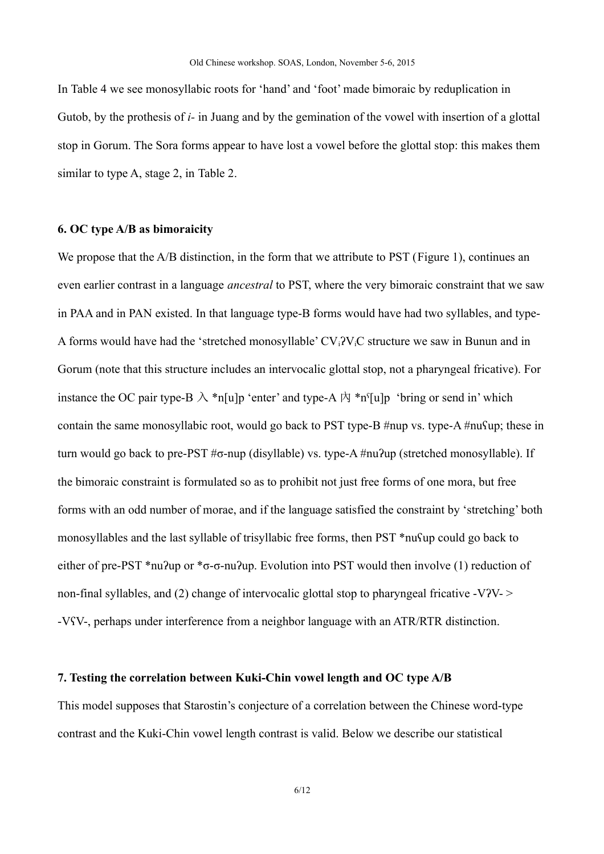In [Table 4](#page-4-1) we see monosyllabic roots for 'hand' and 'foot' made bimoraic by reduplication in Gutob, by the prothesis of *i-* in Juang and by the gemination of the vowel with insertion of a glottal stop in Gorum. The Sora forms appear to have lost a vowel before the glottal stop: this makes them similar to type A, stage 2, in [Table 2.](#page-2-1)

## **6. OC type A/B as bimoraicity**

We propose that the A/B distinction, in the form that we attribute to PST [\(Figure 1\)](#page-2-0), continues an even earlier contrast in a language *ancestral* to PST, where the very bimoraic constraint that we saw in PAA and in PAN existed. In that language type-B forms would have had two syllables, and type-A forms would have had the 'stretched monosyllable'  $CV_i$ ? $V_iC$  structure we saw in Bunun and in Gorum (note that this structure includes an intervocalic glottal stop, not a pharyngeal fricative). For instance the OC pair type-B  $\lambda$  \*n[u]p 'enter' and type-A  $\dot{\beta}$  \*n<sup>s</sup>[u]p 'bring or send in' which contain the same monosyllabic root, would go back to PST type-B #nup vs. type-A #nuʕup; these in turn would go back to pre-PST #σ-nup (disyllable) vs. type-A #nuʔup (stretched monosyllable). If the bimoraic constraint is formulated so as to prohibit not just free forms of one mora, but free forms with an odd number of morae, and if the language satisfied the constraint by 'stretching' both monosyllables and the last syllable of trisyllabic free forms, then PST \*nuʕup could go back to either of pre-PST \*nu?up or \*σ-σ-nu?up. Evolution into PST would then involve (1) reduction of non-final syllables, and (2) change of intervocalic glottal stop to pharyngeal fricative -V?V-  $>$ -VʕV-, perhaps under interference from a neighbor language with an ATR/RTR distinction.

## **7. Testing the correlation between Kuki-Chin vowel length and OC type A/B**

This model supposes that Starostin's conjecture of a correlation between the Chinese word-type contrast and the Kuki-Chin vowel length contrast is valid. Below we describe our statistical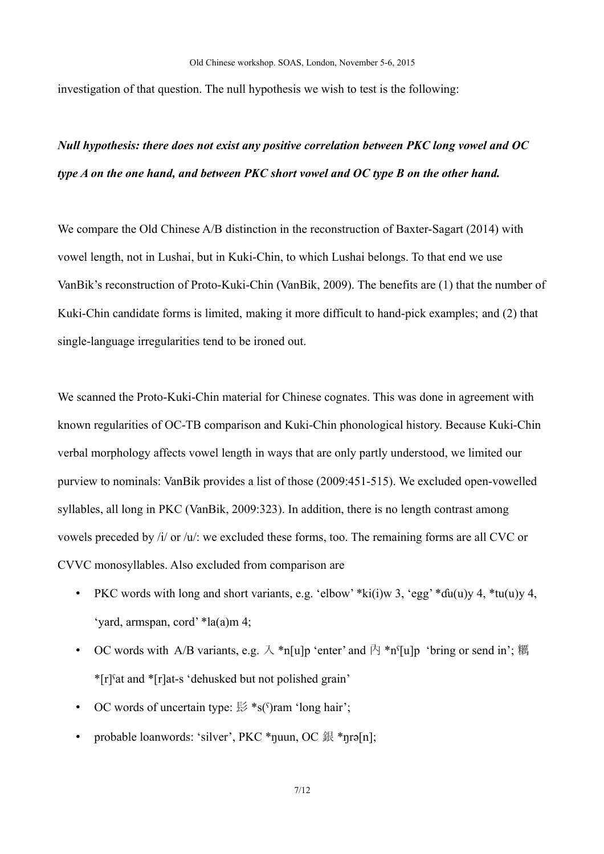investigation of that question. The null hypothesis we wish to test is the following:

# *Null hypothesis: there does not exist any positive correlation between PKC long vowel and OC type A on the one hand, and between PKC short vowel and OC type B on the other hand.*

We compare the Old Chinese A/B distinction in the reconstruction of Baxter-Sagart (2014) with vowel length, not in Lushai, but in Kuki-Chin, to which Lushai belongs. To that end we use VanBik's reconstruction of Proto-Kuki-Chin (VanBik, 2009). The benefits are (1) that the number of Kuki-Chin candidate forms is limited, making it more difficult to hand-pick examples; and (2) that single-language irregularities tend to be ironed out.

We scanned the Proto-Kuki-Chin material for Chinese cognates. This was done in agreement with known regularities of OC-TB comparison and Kuki-Chin phonological history. Because Kuki-Chin verbal morphology affects vowel length in ways that are only partly understood, we limited our purview to nominals: VanBik provides a list of those (2009:451-515). We excluded open-vowelled syllables, all long in PKC (VanBik, 2009:323). In addition, there is no length contrast among vowels preceded by /i/ or /u/: we excluded these forms, too. The remaining forms are all CVC or CVVC monosyllables. Also excluded from comparison are

- PKC words with long and short variants, e.g. 'elbow' \*ki(i)w 3, 'egg' \*du(u)y 4, \*tu(u)y 4, 'yard, armspan, cord' \*la(a)m 4;
- OC words with A/B variants, e.g.  $\lambda$  \*n[u]p 'enter' and  $\bar{P}$  \*n<sup>c</sup>[u]p 'bring or send in'; 糲 \*[r]ˤat and \*[r]at-s 'dehusked but not polished grain'
- OC words of uncertain type:  $\frac{1}{56}$  \*s( $\frac{c}{s}$ )ram 'long hair';
- probable loanwords: 'silver', PKC \*nuun, OC 銀 \*nrə[n];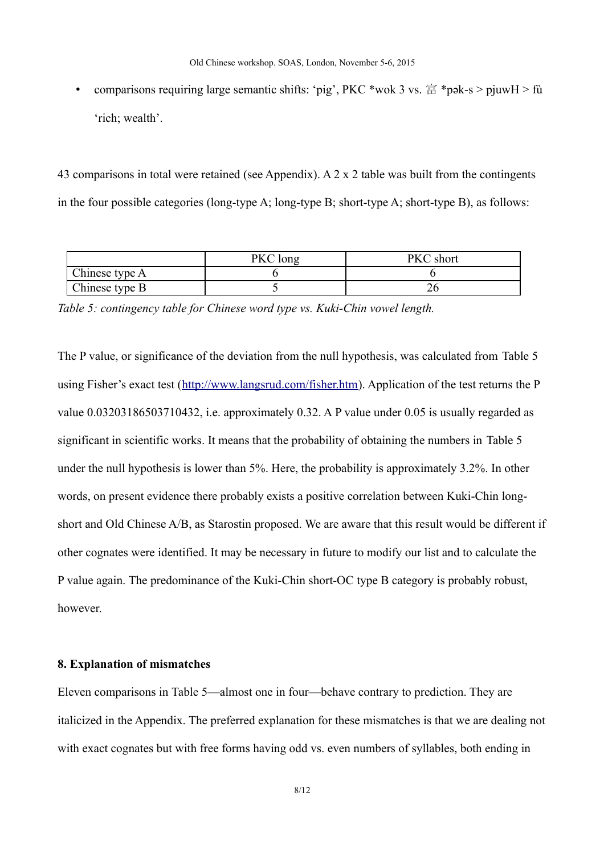• comparisons requiring large semantic shifts: 'pig', PKC \*wok 3 vs.  $\hat{\mathbb{E}}$  \*pək-s > pjuwH > fù 'rich; wealth'.

43 comparisons in total were retained (see Appendix). A 2 x 2 table was built from the contingents in the four possible categories (long-type A; long-type B; short-type A; short-type B), as follows:

|                | PKC long | short |
|----------------|----------|-------|
| Chinese type A |          |       |
| Chinese type B |          | -47   |

<span id="page-7-0"></span>*Table 5: contingency table for Chinese word type vs. Kuki-Chin vowel length.*

The P value, or significance of the deviation from the null hypothesis, was calculated from [Table 5](#page-7-0) using Fisher's exact test [\(http://www.langsrud.com/fisher.htm\)](http://www.langsrud.com/fisher.htm). Application of the test returns the P value 0.03203186503710432, i.e. approximately 0.32. A P value under 0.05 is usually regarded as significant in scientific works. It means that the probability of obtaining the numbers in [Table 5](#page-7-0) under the null hypothesis is lower than 5%. Here, the probability is approximately 3.2%. In other words, on present evidence there probably exists a positive correlation between Kuki-Chin longshort and Old Chinese A/B, as Starostin proposed. We are aware that this result would be different if other cognates were identified. It may be necessary in future to modify our list and to calculate the P value again. The predominance of the Kuki-Chin short-OC type B category is probably robust, however.

## **8. Explanation of mismatches**

Eleven comparisons in [Table 5—](#page-7-0)almost one in four—behave contrary to prediction. They are italicized in the Appendix. The preferred explanation for these mismatches is that we are dealing not with exact cognates but with free forms having odd vs. even numbers of syllables, both ending in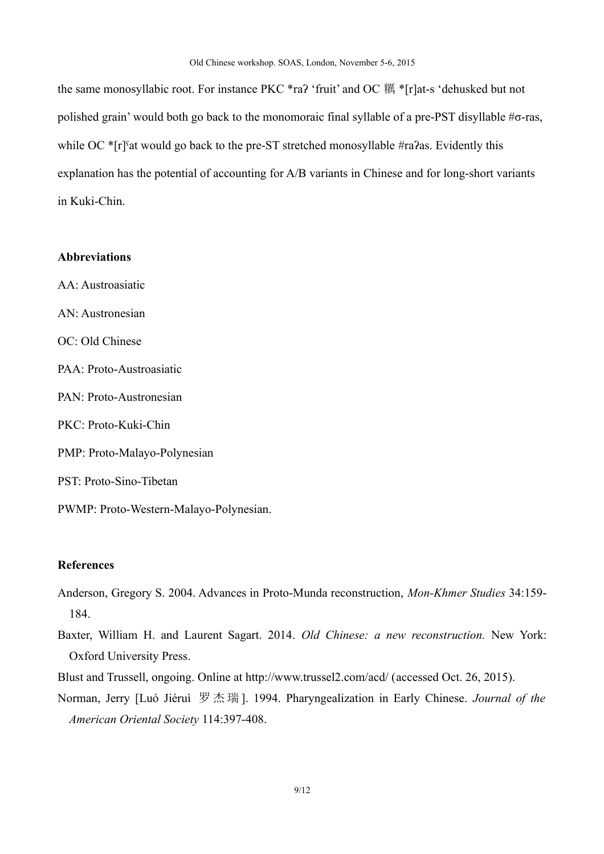the same monosyllabic root. For instance PKC \*raʔ 'fruit' and OC 糲 \*[r]at-s 'dehusked but not polished grain' would both go back to the monomoraic final syllable of a pre-PST disyllable #σ-ras, while OC  $\pi$ <sup>[r]s</sup>at would go back to the pre-ST stretched monosyllable #ra $2$ as. Evidently this explanation has the potential of accounting for A/B variants in Chinese and for long-short variants in Kuki-Chin.

#### **Abbreviations**

AA: Austroasiatic AN: Austronesian OC: Old Chinese PAA: Proto-Austroasiatic PAN: Proto-Austronesian PKC: Proto-Kuki-Chin PMP: Proto-Malayo-Polynesian PST: Proto-Sino-Tibetan PWMP: Proto-Western-Malayo-Polynesian.

## **References**

- Anderson, Gregory S. 2004. Advances in Proto-Munda reconstruction, *Mon-Khmer Studies* 34:159- 184.
- Baxter, William H. and Laurent Sagart. 2014. *Old Chinese: a new reconstruction.* New York: Oxford University Press.
- Blust and Trussell, ongoing. Online at http://www.trussel2.com/acd/ (accessed Oct. 26, 2015).
- Norman, Jerry [Luó Jiéruì 罗 杰瑞 ]. 1994. Pharyngealization in Early Chinese. *Journal of the American Oriental Society* 114:397-408.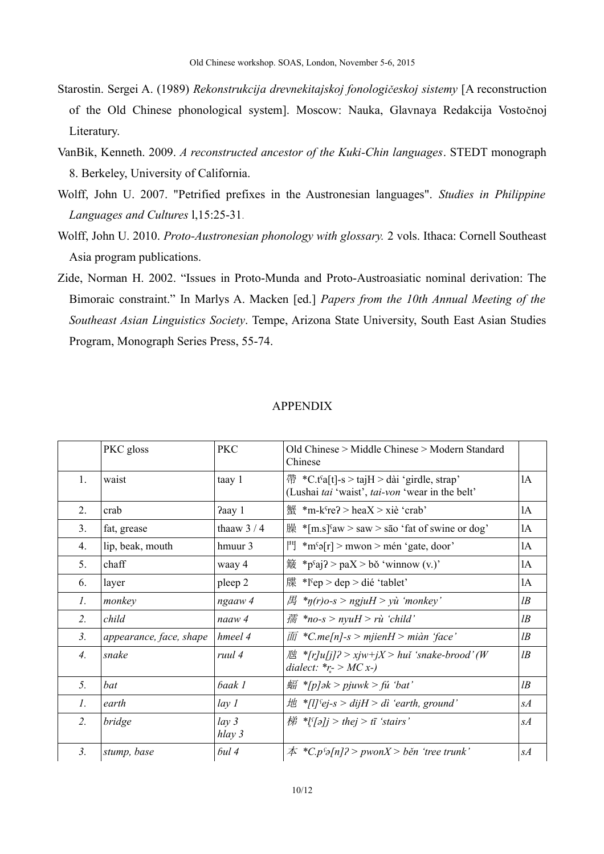- Starostin. Sergei A. (1989) *Rekonstrukcija drevnekitajskoj fonologičeskoj sistemy* [A reconstruction of the Old Chinese phonological system]. Moscow: Nauka, Glavnaya Redakcija Vostočnoj Literatury.
- VanBik, Kenneth. 2009. *A reconstructed ancestor of the Kuki-Chin languages*. STEDT monograph 8. Berkeley, University of California.
- Wolff, John U. 2007. "Petrified prefixes in the Austronesian languages". *Studies in Philippine Languages and Cultures* l,15:25-31.
- Wolff, John U. 2010. *Proto-Austronesian phonology with glossary.* 2 vols. Ithaca: Cornell Southeast Asia program publications.
- Zide, Norman H. 2002. "Issues in Proto-Munda and Proto-Austroasiatic nominal derivation: The Bimoraic constraint." In Marlys A. Macken [ed.] *Papers from the 10th Annual Meeting of the Southeast Asian Linguistics Society*. Tempe, Arizona State University, South East Asian Studies Program, Monograph Series Press, 55-74.

|                  | PKC gloss               | <b>PKC</b>                 | Old Chinese > Middle Chinese > Modern Standard<br>Chinese                                                                     |       |
|------------------|-------------------------|----------------------------|-------------------------------------------------------------------------------------------------------------------------------|-------|
| 1.               | waist                   | taay 1                     | $\ddot{\mathcal{F}}$ *C.t <sup>s</sup> a[t]-s > tajH > dài 'girdle, strap'<br>(Lushai tai 'waist', tai-von 'wear in the belt' | 1A    |
| 2.               | crab                    | Paay 1                     | $\frac{f(x)}{f(x)}$ *m-k <sup>c</sup> re? > heaX > xiè 'crab'                                                                 | 1A    |
| 3 <sub>1</sub>   | fat, grease             | thaaw $3/4$                | $\mathbb{R}$ *[m.s] <sup>s</sup> aw > saw > sao 'fat of swine or dog'                                                         | 1A    |
| 4.               | lip, beak, mouth        | hmuur 3                    | $\begin{bmatrix} \n\frac{1}{2} \text{Im} \cdot \sin \theta \end{bmatrix}$ > mwon > mén 'gate, door'                           | 1A    |
| 5.               | chaff                   | waay 4                     | $\frac{26}{3}$ *p <sup>s</sup> aj? > paX > bǒ 'winnow (v.)'                                                                   | lA    |
| 6.               | layer                   | pleep 2                    | 牒 *lˤep > dep > dié 'tablet'                                                                                                  | 1A    |
| 1.               | monkey                  | ngaaw 4                    | $\text{H}$ *n(r)o-s > ngjuH > yù 'monkey'                                                                                     | $l$ B |
| 2.               | child                   | naaw 4                     | $m/s$ *no-s > nyuH > rù 'child'                                                                                               | $l$ B |
| 3 <sub>1</sub>   | appearance, face, shape | hmeel 4                    | $\overline{m}$ *C.me[n]-s > mjienH > miàn 'face'                                                                              | $l$ B |
| $\overline{4}$ . | snake                   | ruul 4                     | <i>I</i> E *[r]u[j]? > xjw+jX > huĭ 'snake-brood' (W<br>dialect: $*_r > MC$ x-)                                               | $l$ B |
| 5.               | bat                     | baak 1                     | $\frac{1}{2}$ *[p]ək > pjuwk > fu 'bat'                                                                                       | $l$ B |
| 1.               | earth                   | lay <sub>l</sub>           | $\#$ *[l] sej-s > dijH > di 'earth, ground'                                                                                   | sA    |
| 2.               | bridge                  | lay <sub>3</sub><br>hlay 3 | $# \sqrt[8]{\pi} > thej > t\bar{i}$ 'stairs'                                                                                  | sA    |
| 3 <sub>1</sub>   | stump, base             | 6ul4                       | $\#$ *C.p <sup>c</sup> $\geq$ [n]? > pwonX > běn 'tree trunk'                                                                 | sA    |

#### APPENDIX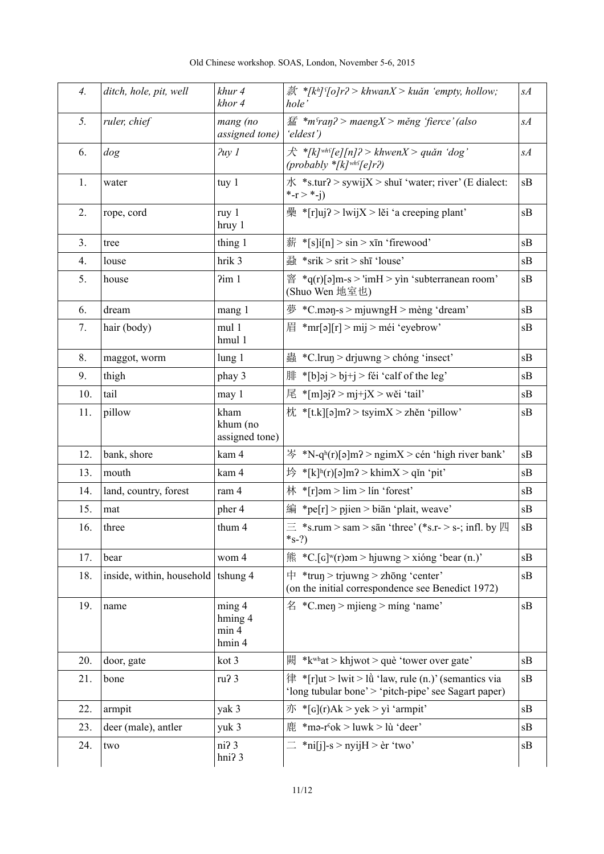| $\mathcal{A}_{\cdot}$ | ditch, hole, pit, well    | khur 4<br>khor 4                         | $\ddot{\mathcal{R}}$ *[kh] $\lceil \frac{\epsilon}{2} \rceil$ / $\lceil \frac{\epsilon}{2} \rceil$ / $\epsilon$ / $\kappa$ / $\kappa$ / $\kappa$ / $\kappa$ / $\kappa$ / $\kappa$ / $\kappa$ / $\kappa$ / $\kappa$ / $\kappa$ / $\kappa$ / $\kappa$ / $\kappa$ / $\kappa$ / $\kappa$ / $\kappa$ / $\kappa$ / $\kappa$ / $\kappa$ / $\kappa$ /<br>hole' | sA |
|-----------------------|---------------------------|------------------------------------------|--------------------------------------------------------------------------------------------------------------------------------------------------------------------------------------------------------------------------------------------------------------------------------------------------------------------------------------------------------|----|
| 5.                    | ruler, chief              | mang (no<br>assigned tone)               | $\mathcal{F}$ *m <sup>s</sup> ran? > maengX > měng 'fierce' (also<br>'eldest')                                                                                                                                                                                                                                                                         | sA |
| 6.                    | dog                       | $Puy$ $I$                                | $\hat{\mathcal{F}}$ *[k] <sup>whs</sup> [e][n]? > khwenX > quǎn 'dog'<br>$(probably * [k]^{wh} [e]r2)$                                                                                                                                                                                                                                                 | sA |
| 1.                    | water                     | tuy 1                                    | $\pi$ *s.tur? > sywijX > shui 'water; river' (E dialect:<br>*- $r > * -i$                                                                                                                                                                                                                                                                              | sB |
| 2.                    | rope, cord                | ruy 1<br>hruy 1                          | $\frac{1}{2}$ *[r]uj? > lwijX > lěi 'a creeping plant'                                                                                                                                                                                                                                                                                                 | sB |
| 3.                    | tree                      | thing 1                                  | $\frac{25}{37}$ *[s]i[n] > sin > xīn 'firewood'                                                                                                                                                                                                                                                                                                        | sB |
| 4.                    | louse                     | hrik 3                                   | $\frac{3}{40}$ *srik > srit > shī 'louse'                                                                                                                                                                                                                                                                                                              | sB |
| 5.                    | house                     | 2im1                                     | $\mathbb{S}$ *q(r)[ə]m-s > 'imH > yìn 'subterranean room'<br>(Shuo Wen 地室也)                                                                                                                                                                                                                                                                            | sB |
| 6.                    | dream                     | mang 1                                   | $\overline{\mathcal{F}}$ *C.man-s > mjuwngH > mèng 'dream'                                                                                                                                                                                                                                                                                             | sB |
| 7.                    | hair (body)               | mul 1<br>hmul 1                          | $\vert \bar{f} \vert$ *mr[ə][r] > mij > méi 'eyebrow'                                                                                                                                                                                                                                                                                                  | sB |
| 8.                    | maggot, worm              | lung 1                                   | $\frac{3}{24}$ *C.lrun > drjuwng > chóng 'insect'                                                                                                                                                                                                                                                                                                      | sB |
| 9.                    | thigh                     | phay 3                                   | $\parallel \mathbf{H} \cdot \mathbf{S} \parallel \mathbf{b}$ > bj+j > féi 'calf of the leg'                                                                                                                                                                                                                                                            | sB |
| 10.                   | tail                      | may 1                                    | 尾 *[m]əj? > mj+jX > wěi 'tail'                                                                                                                                                                                                                                                                                                                         | sB |
| 11.                   | pillow                    | kham<br>khum (no<br>assigned tone)       | 枕 *[t.k][ə]m? > tsyimX > zhěn 'pillow'                                                                                                                                                                                                                                                                                                                 | sB |
| 12.                   | bank, shore               | kam 4                                    | $\frac{1}{2}$ *N-q <sup>h</sup> (r)[ə]m? > ngimX > cén 'high river bank'                                                                                                                                                                                                                                                                               | sB |
| 13.                   | mouth                     | kam 4                                    | $\frac{1}{2}$ *[k] <sup>h</sup> (r)[ə]m? > khimX > qǐn 'pit'                                                                                                                                                                                                                                                                                           | sB |
| 14.                   | land, country, forest     | ram 4                                    | 林 *[r]əm > $\lim$ > $\lim$ * forest'                                                                                                                                                                                                                                                                                                                   | sB |
| 15.                   | mat                       | pher 4                                   | 編 *pe[r] > pjien > biān 'plait, weave'                                                                                                                                                                                                                                                                                                                 | sB |
| 16.                   | three                     | thum 4                                   | $\equiv$ *s.rum > sam > sān 'three' (*s.r- > s-; infl. by $\Box$<br>$*_{S-?}$                                                                                                                                                                                                                                                                          | sB |
| 17.                   | bear                      | wom 4                                    | $\text{fik}$ *C.[G] <sup>w</sup> (r) əm > hjuwng > xióng 'bear (n.)'                                                                                                                                                                                                                                                                                   | sB |
| 18.                   | inside, within, household | tshung 4                                 | $\uparrow$ *trun > trjuwng > zhōng 'center'<br>(on the initial correspondence see Benedict 1972)                                                                                                                                                                                                                                                       | sB |
| 19.                   | name                      | $\min$ g 4<br>hming 4<br>min 4<br>hmin 4 | $\angle$ *C.men > mjieng > ming 'name'                                                                                                                                                                                                                                                                                                                 | sB |
| 20.                   | door, gate                | kot 3                                    | * $k^{\text{wh}}$ at > khjwot > què 'tower over gate'<br>闕                                                                                                                                                                                                                                                                                             | sB |
| 21.                   | bone                      | ru? 3                                    | $\hat{a}$ *[r]ut > lwit > lù 'law, rule (n.)' (semantics via<br>'long tubular bone' > 'pitch-pipe' see Sagart paper)                                                                                                                                                                                                                                   | sB |
| 22.                   | armpit                    | yak 3                                    | $\overline{f}$ *[G](r)Ak > yek > yì 'armpit'                                                                                                                                                                                                                                                                                                           | sB |
| 23.                   | deer (male), antler       | yuk 3                                    | $\overline{E}$ *mə-r <sup>s</sup> ok > luwk > lù 'deer'                                                                                                                                                                                                                                                                                                | sB |
| 24.                   | two                       | ni? 3<br>hni? 3                          | $\equiv$ *ni[j]-s > nyijH > èr 'two'                                                                                                                                                                                                                                                                                                                   | sB |